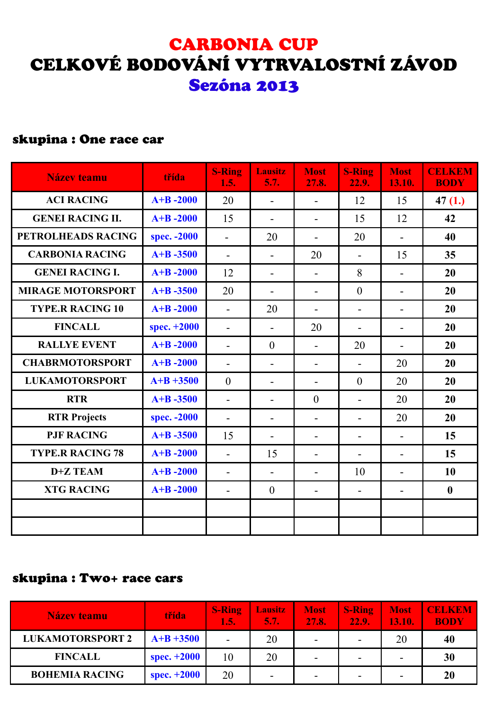## CARBONIA CUP CELKOVÉ BODOVÁNÍ VYTRVALOSTNÍ ZÁVOD Sezóna 2013

#### skupina : One race car

| <b>Název teamu</b>       | třída        | <b>S-Ring</b><br>1.5.    | <b>Lausitz</b><br>5.7.   | <b>Most</b><br>27.8.     | <b>S-Ring</b><br>22.9.   | <b>Most</b><br>13.10.    | <b>CELKEM</b><br><b>BODY</b> |
|--------------------------|--------------|--------------------------|--------------------------|--------------------------|--------------------------|--------------------------|------------------------------|
| <b>ACI RACING</b>        | $A+B-2000$   | 20                       |                          | $\overline{\phantom{a}}$ | 12                       | 15                       | 47(1.)                       |
| <b>GENEI RACING II.</b>  | $A+B-2000$   | 15                       | $\qquad \qquad -$        | $\blacksquare$           | 15                       | 12                       | 42                           |
| PETROLHEADS RACING       | spec. - 2000 | $\overline{\phantom{0}}$ | 20                       | $\blacksquare$           | 20                       | $\overline{\phantom{a}}$ | 40                           |
| <b>CARBONIA RACING</b>   | $A+B - 3500$ | $\overline{\phantom{a}}$ |                          | 20                       |                          | 15                       | 35                           |
| <b>GENEI RACING I.</b>   | $A+B - 2000$ | 12                       | $\overline{\phantom{a}}$ | $\blacksquare$           | 8                        | $\overline{\phantom{a}}$ | 20                           |
| <b>MIRAGE MOTORSPORT</b> | $A+B - 3500$ | 20                       | $\overline{\phantom{a}}$ | $\blacksquare$           | $\overline{0}$           | $\overline{\phantom{a}}$ | 20                           |
| <b>TYPE.R RACING 10</b>  | $A+B - 2000$ | $\overline{\phantom{a}}$ | 20                       | $\overline{\phantom{a}}$ | $\overline{\phantom{a}}$ | $\overline{\phantom{a}}$ | 20                           |
| <b>FINCALL</b>           | spec. +2000  | $\overline{\phantom{a}}$ | $\overline{\phantom{0}}$ | 20                       | $\overline{\phantom{a}}$ | $\overline{\phantom{a}}$ | 20                           |
| <b>RALLYE EVENT</b>      | $A+B - 2000$ | $\overline{\phantom{a}}$ | $\boldsymbol{0}$         | $\blacksquare$           | 20                       | $\overline{\phantom{a}}$ | 20                           |
| <b>CHABRMOTORSPORT</b>   | $A+B - 2000$ | $\overline{\phantom{a}}$ | $\overline{\phantom{a}}$ | $\overline{\phantom{a}}$ | $\overline{\phantom{a}}$ | 20                       | 20                           |
| <b>LUKAMOTORSPORT</b>    | $A+B +3500$  | $\overline{0}$           | $\overline{\phantom{a}}$ | $\blacksquare$           | $\overline{0}$           | 20                       | 20                           |
| <b>RTR</b>               | $A+B - 3500$ | $\overline{a}$           |                          | $\boldsymbol{0}$         | $\overline{\phantom{a}}$ | 20                       | 20                           |
| <b>RTR Projects</b>      | spec. - 2000 | $\overline{\phantom{a}}$ |                          | $\overline{\phantom{a}}$ | $\overline{\phantom{a}}$ | 20                       | 20                           |
| <b>PJF RACING</b>        | $A+B - 3500$ | 15                       |                          | $\overline{\phantom{a}}$ |                          | $\overline{\phantom{a}}$ | 15                           |
| <b>TYPE.R RACING 78</b>  | $A+B - 2000$ | $\overline{\phantom{a}}$ | 15                       | $\blacksquare$           | $\overline{\phantom{a}}$ | $\overline{\phantom{a}}$ | 15                           |
| D+Z TEAM                 | $A+B - 2000$ | $\overline{\phantom{a}}$ | $\overline{\phantom{a}}$ | $\blacksquare$           | 10                       | $\overline{\phantom{a}}$ | 10                           |
| <b>XTG RACING</b>        | $A+B-2000$   | $\overline{\phantom{0}}$ | $\boldsymbol{0}$         | $\overline{\phantom{a}}$ | $\overline{\phantom{a}}$ | $\overline{\phantom{a}}$ | $\boldsymbol{0}$             |
|                          |              |                          |                          |                          |                          |                          |                              |
|                          |              |                          |                          |                          |                          |                          |                              |

#### skupina : Two+ race cars

| Název teamu             | třída         | <b>S-Ring</b><br>1.5.    | <b>Lausitz</b><br>5.7.1  | <b>Most</b><br>27.8.     | <b>S-Ring</b><br>$\sqrt{22.9}$ . | <b>Most</b><br>13.10.    | <b>CELKEM</b><br><b>BODY</b> |
|-------------------------|---------------|--------------------------|--------------------------|--------------------------|----------------------------------|--------------------------|------------------------------|
| <b>LUKAMOTORSPORT 2</b> | $A+B +3500$   | $\overline{\phantom{a}}$ | 20                       | $\overline{\phantom{a}}$ |                                  | 20                       | 40                           |
| <b>FINCALL</b>          | spec. $+2000$ | 10                       | 20                       | $\overline{\phantom{a}}$ |                                  | $\blacksquare$           | 30                           |
| <b>BOHEMIA RACING</b>   | spec. $+2000$ | 20                       | $\overline{\phantom{0}}$ | $\overline{\phantom{a}}$ |                                  | $\overline{\phantom{0}}$ | 20                           |